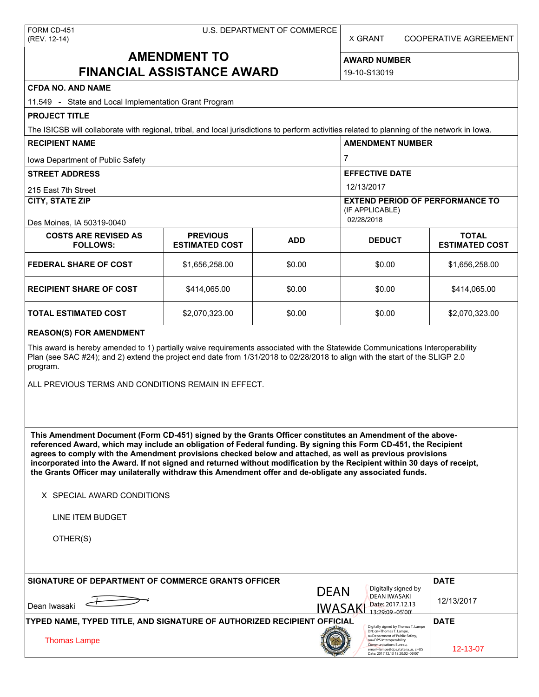X GRANT COOPERATIVE AGREEMENT

# **AMENDMENT TO FINANCIAL ASSISTANCE AWARD**

**AWARD NUMBER** 19-10-S13019

### **CFDA NO. AND NAME**

| 11.549 - State and Local Implementation Grant Program                                                                                                                                                                                                                     |                                          |                         |                                                                         |                                       |  |
|---------------------------------------------------------------------------------------------------------------------------------------------------------------------------------------------------------------------------------------------------------------------------|------------------------------------------|-------------------------|-------------------------------------------------------------------------|---------------------------------------|--|
| <b>PROJECT TITLE</b>                                                                                                                                                                                                                                                      |                                          |                         |                                                                         |                                       |  |
| The ISICSB will collaborate with regional, tribal, and local jurisdictions to perform activities related to planning of the network in lowa.                                                                                                                              |                                          |                         |                                                                         |                                       |  |
| <b>RECIPIENT NAME</b>                                                                                                                                                                                                                                                     |                                          | <b>AMENDMENT NUMBER</b> |                                                                         |                                       |  |
| Iowa Department of Public Safety                                                                                                                                                                                                                                          |                                          | 7                       |                                                                         |                                       |  |
| <b>STREET ADDRESS</b>                                                                                                                                                                                                                                                     | <b>EFFECTIVE DATE</b>                    |                         |                                                                         |                                       |  |
| 215 East 7th Street                                                                                                                                                                                                                                                       |                                          | 12/13/2017              |                                                                         |                                       |  |
| <b>CITY, STATE ZIP</b><br>Des Moines, IA 50319-0040                                                                                                                                                                                                                       |                                          |                         | <b>EXTEND PERIOD OF PERFORMANCE TO</b><br>(IF APPLICABLE)<br>02/28/2018 |                                       |  |
| <b>COSTS ARE REVISED AS</b><br><b>FOLLOWS:</b>                                                                                                                                                                                                                            | <b>PREVIOUS</b><br><b>ESTIMATED COST</b> | <b>ADD</b>              | <b>DEDUCT</b>                                                           | <b>TOTAL</b><br><b>ESTIMATED COST</b> |  |
| <b>FEDERAL SHARE OF COST</b>                                                                                                                                                                                                                                              | \$1,656,258.00                           | \$0.00                  | \$0.00                                                                  | \$1,656,258.00                        |  |
| <b>RECIPIENT SHARE OF COST</b>                                                                                                                                                                                                                                            | \$414,065.00                             | \$0.00                  | \$0.00                                                                  | \$414,065.00                          |  |
| TOTAL ESTIMATED COST                                                                                                                                                                                                                                                      | \$2,070,323.00                           | \$0.00                  | \$0.00                                                                  | \$2,070,323.00                        |  |
| <b>REASON(S) FOR AMENDMENT</b>                                                                                                                                                                                                                                            |                                          |                         |                                                                         |                                       |  |
| This award is hereby amended to 1) partially waive requirements associated with the Statewide Communications Interoperability<br>Plan (see SAC #24); and 2) extend the project end date from 1/31/2018 to 02/28/2018 to align with the start of the SLIGP 2.0<br>program. |                                          |                         |                                                                         |                                       |  |

ALL PREVIOUS TERMS AND CONDITIONS REMAIN IN EFFECT.

**This Amendment Document (Form CD-451) signed by the Grants Officer constitutes an Amendment of the abovereferenced Award, which may include an obligation of Federal funding. By signing this Form CD-451, the Recipient agrees to comply with the Amendment provisions checked below and attached, as well as previous provisions incorporated into the Award. If not signed and returned without modification by the Recipient within 30 days of receipt, the Grants Officer may unilaterally withdraw this Amendment offer and de-obligate any associated funds.**

X SPECIAL AWARD CONDITIONS

LINE ITEM BUDGET

OTHER(S)

| SIGNATURE OF DEPARTMENT OF COMMERCE GRANTS OFFICER                             |                               |                                                                                                                                                                                                                                 | <b>DATE</b> |
|--------------------------------------------------------------------------------|-------------------------------|---------------------------------------------------------------------------------------------------------------------------------------------------------------------------------------------------------------------------------|-------------|
| Dean Iwasaki                                                                   | <b>DEAN</b><br><b>IWASAKI</b> | Digitally signed by<br><b>DEAN IWASAKI</b><br>Date: 2017.12.13<br>13:29:09 -05'00'                                                                                                                                              | 12/13/2017  |
| <b>TYPED NAME, TYPED TITLE, AND SIGNATURE OF AUTHORIZED RECIPIENT OFFICIAL</b> |                               |                                                                                                                                                                                                                                 | <b>DATE</b> |
| <b>Thomas Lampe</b>                                                            |                               | Digitally signed by Thomas T. Lampe<br>DN: cn=Thomas T. Lampe.<br>o=Department of Public Safety,<br>ou=DPS Interoperability<br>Communications Bureau.<br>email=lampe@dps.state.ia.us, c=US<br>Date: 2017.12.13 13:20:02 -06'00' | 12-13-07    |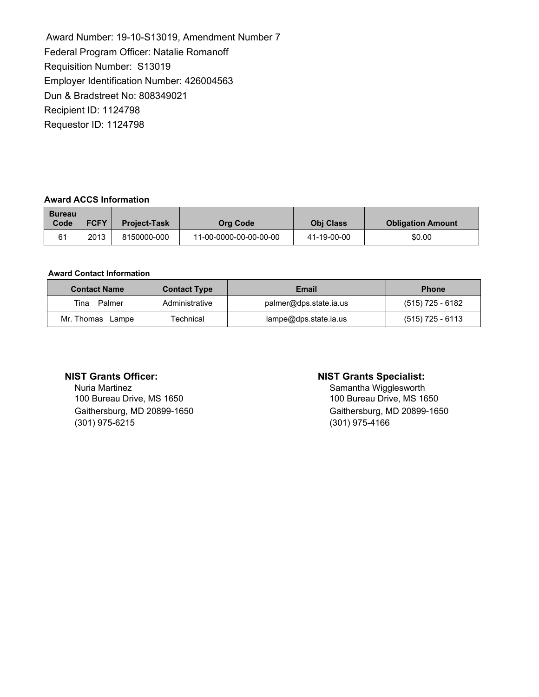Award Number: 19-10-S13019, Amendment Number 7 Federal Program Officer: Natalie Romanoff Requisition Number: S13019 Employer Identification Number: 426004563 Dun & Bradstreet No: 808349021 Recipient ID: 1124798 Requestor ID: 1124798

### **Award ACCS Information**

| <b>Bureau</b><br>Code | <b>FCFY</b> | <b>Project-Task</b> | <b>Org Code</b>        | <b>Obi Class</b> | <b>Obligation Amount</b> |
|-----------------------|-------------|---------------------|------------------------|------------------|--------------------------|
| 61                    | 2013        | 8150000-000         | 11-00-0000-00-00-00-00 | 41-19-00-00      | \$0.00                   |

### **Award Contact Information**

| <b>Contact Name</b> | <b>Contact Type</b> | Email                  | <b>Phone</b>     |
|---------------------|---------------------|------------------------|------------------|
| Tina<br>Palmer      | Administrative      | palmer@dps.state.ia.us | (515) 725 - 6182 |
| Mr. Thomas Lampe    | Technical           | lampe@dps.state.ia.us  | (515) 725 - 6113 |

Nuria Martinez<br>
100 Bureau Drive, MS 1650<br>
100 Bureau Drive, MS 1650<br>
100 Bureau Drive, MS 1650 100 Bureau Drive, MS 1650 (301) 975-6215 (301) 975-4166

### **NIST Grants Officer: NIST Grants Specialist:**

Gaithersburg, MD 20899-1650 Gaithersburg, MD 20899-1650